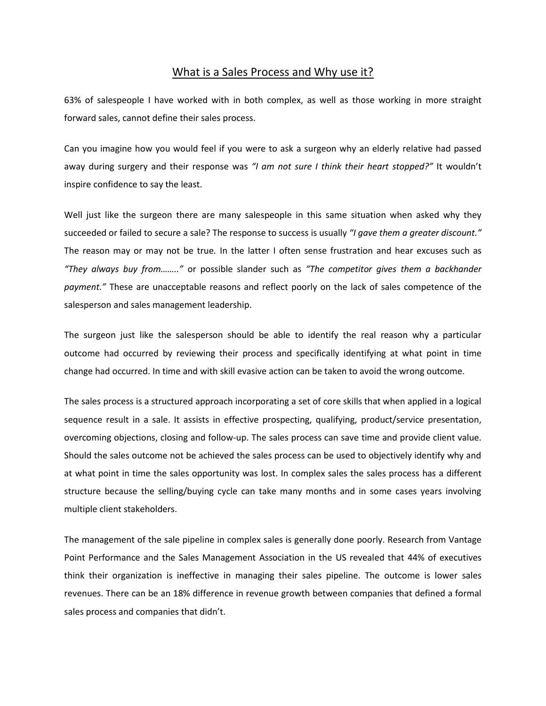## What is a Sales Process and Why use it?

63% of salespeople I have worked with in both complex, as well as those working in more straight forward sales, cannot define their sales process.

Can you imagine how you would feel if you were to ask a surgeon why an elderly relative had passed away during surgery and their response was *"I am not sure I think their heart stopped?"* It wouldn't inspire confidence to say the least.

Well just like the surgeon there are many salespeople in this same situation when asked why they succeeded or failed to secure a sale? The response to success is usually *"I gave them a greater discount."*  The reason may or may not be true*.* In the latter I often sense frustration and hear excuses such as *"They always buy from…….."* or possible slander such as *"The competitor gives them a backhander payment."* These are unacceptable reasons and reflect poorly on the lack of sales competence of the salesperson and sales management leadership.

The surgeon just like the salesperson should be able to identify the real reason why a particular outcome had occurred by reviewing their process and specifically identifying at what point in time change had occurred. In time and with skill evasive action can be taken to avoid the wrong outcome.

The sales process is a structured approach incorporating a set of core skills that when applied in a logical sequence result in a sale. It assists in effective prospecting, qualifying, product/service presentation, overcoming objections, closing and follow-up. The sales process can save time and provide client value. Should the sales outcome not be achieved the sales process can be used to objectively identify why and at what point in time the sales opportunity was lost. In complex sales the sales process has a different structure because the selling/buying cycle can take many months and in some cases years involving multiple client stakeholders.

The management of the sale pipeline in complex sales is generally done poorly. Research from Vantage Point Performance and the Sales Management Association in the US revealed that 44% of executives think their organization is ineffective in managing their sales pipeline. The outcome is lower sales revenues. There can be an 18% difference in revenue growth between companies that defined a formal sales process and companies that didn't.